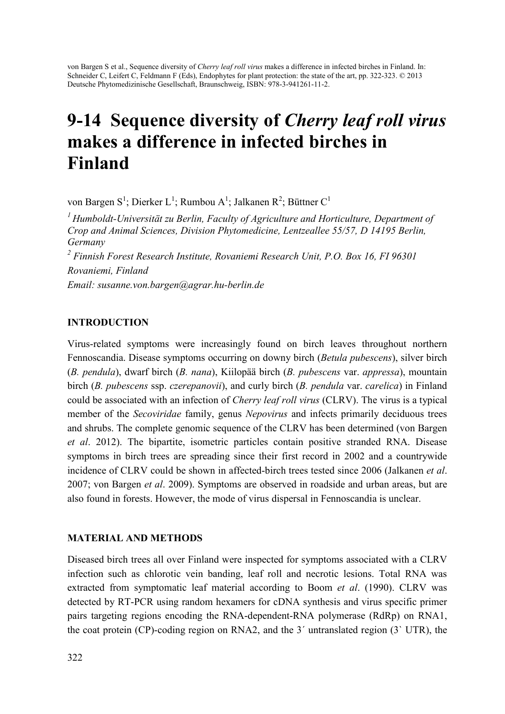von Bargen S et al., Sequence diversity of *Cherry leaf roll virus* makes a difference in infected birches in Finland. In: Schneider C, Leifert C, Feldmann F (Eds), Endophytes for plant protection: the state of the art, pp. 322-323. © 2013 Deutsche Phytomedizinische Gesellschaft, Braunschweig, ISBN: 978-3-941261-11-2.

# 9-14 Sequence diversity of *Cherry leaf roll virus* makes a difference in infected birches in Finland

von Bargen S<sup>1</sup>; Dierker L<sup>1</sup>; Rumbou A<sup>1</sup>; Jalkanen R<sup>2</sup>; Büttner C<sup>1</sup>

*1 Humboldt-Universität zu Berlin, Faculty of Agriculture and Horticulture, Department of Crop and Animal Sciences, Division Phytomedicine, Lentzeallee 55/57, D 14195 Berlin, Germany 2 Finnish Forest Research Institute, Rovaniemi Research Unit, P.O. Box 16, FI 96301 Rovaniemi, Finland Email: susanne.von.bargen@agrar.hu-berlin.de* 

## INTRODUCTION

Virus-related symptoms were increasingly found on birch leaves throughout northern Fennoscandia. Disease symptoms occurring on downy birch (*Betula pubescens*), silver birch (*B. pendula*), dwarf birch (*B. nana*), Kiilopää birch (*B. pubescens* var. *appressa*), mountain birch (*B. pubescens* ssp. *czerepanovii*), and curly birch (*B. pendula* var. *carelica*) in Finland could be associated with an infection of *Cherry leaf roll virus* (CLRV). The virus is a typical member of the *Secoviridae* family, genus *Nepovirus* and infects primarily deciduous trees and shrubs. The complete genomic sequence of the CLRV has been determined (von Bargen *et al*. 2012). The bipartite, isometric particles contain positive stranded RNA. Disease symptoms in birch trees are spreading since their first record in 2002 and a countrywide incidence of CLRV could be shown in affected-birch trees tested since 2006 (Jalkanen *et al*. 2007; von Bargen *et al*. 2009). Symptoms are observed in roadside and urban areas, but are also found in forests. However, the mode of virus dispersal in Fennoscandia is unclear.

## MATERIAL AND METHODS

Diseased birch trees all over Finland were inspected for symptoms associated with a CLRV infection such as chlorotic vein banding, leaf roll and necrotic lesions. Total RNA was extracted from symptomatic leaf material according to Boom *et al*. (1990). CLRV was detected by RT-PCR using random hexamers for cDNA synthesis and virus specific primer pairs targeting regions encoding the RNA-dependent-RNA polymerase (RdRp) on RNA1, the coat protein (CP)-coding region on RNA2, and the 3´ untranslated region (3` UTR), the